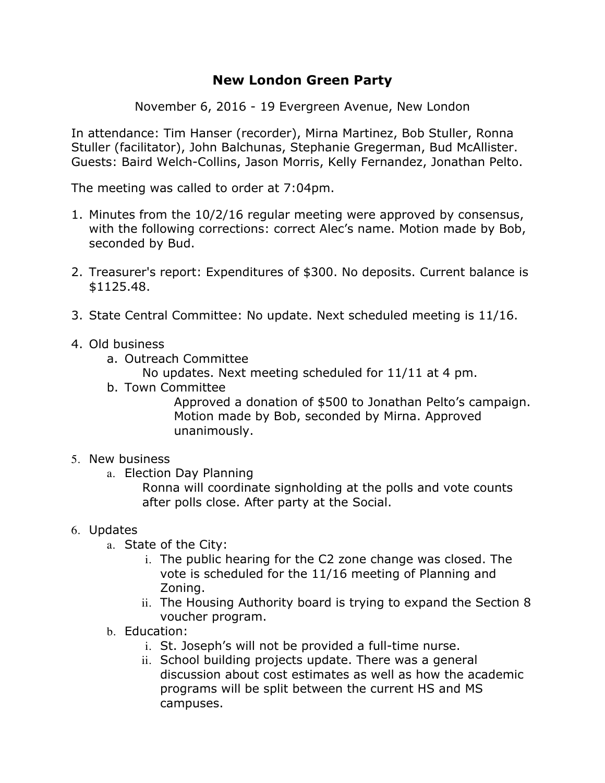## **New London Green Party**

November 6, 2016 - 19 Evergreen Avenue, New London

In attendance: Tim Hanser (recorder), Mirna Martinez, Bob Stuller, Ronna Stuller (facilitator), John Balchunas, Stephanie Gregerman, Bud McAllister. Guests: Baird Welch-Collins, Jason Morris, Kelly Fernandez, Jonathan Pelto.

The meeting was called to order at 7:04pm.

- 1. Minutes from the 10/2/16 regular meeting were approved by consensus, with the following corrections: correct Alec's name. Motion made by Bob, seconded by Bud.
- 2. Treasurer's report: Expenditures of \$300. No deposits. Current balance is \$1125.48.
- 3. State Central Committee: No update. Next scheduled meeting is 11/16.
- 4. Old business
	- a. Outreach Committee
		- No updates. Next meeting scheduled for 11/11 at 4 pm.
	- b. Town Committee

Approved a donation of \$500 to Jonathan Pelto's campaign. Motion made by Bob, seconded by Mirna. Approved unanimously.

## 5. New business

- a. Election Day Planning
	- Ronna will coordinate signholding at the polls and vote counts after polls close. After party at the Social.

## 6. Updates

- a. State of the City:
	- i. The public hearing for the C2 zone change was closed. The vote is scheduled for the 11/16 meeting of Planning and Zoning.
	- ii. The Housing Authority board is trying to expand the Section 8 voucher program.
- b. Education:
	- i. St. Joseph's will not be provided a full-time nurse.
	- ii. School building projects update. There was a general discussion about cost estimates as well as how the academic programs will be split between the current HS and MS campuses.